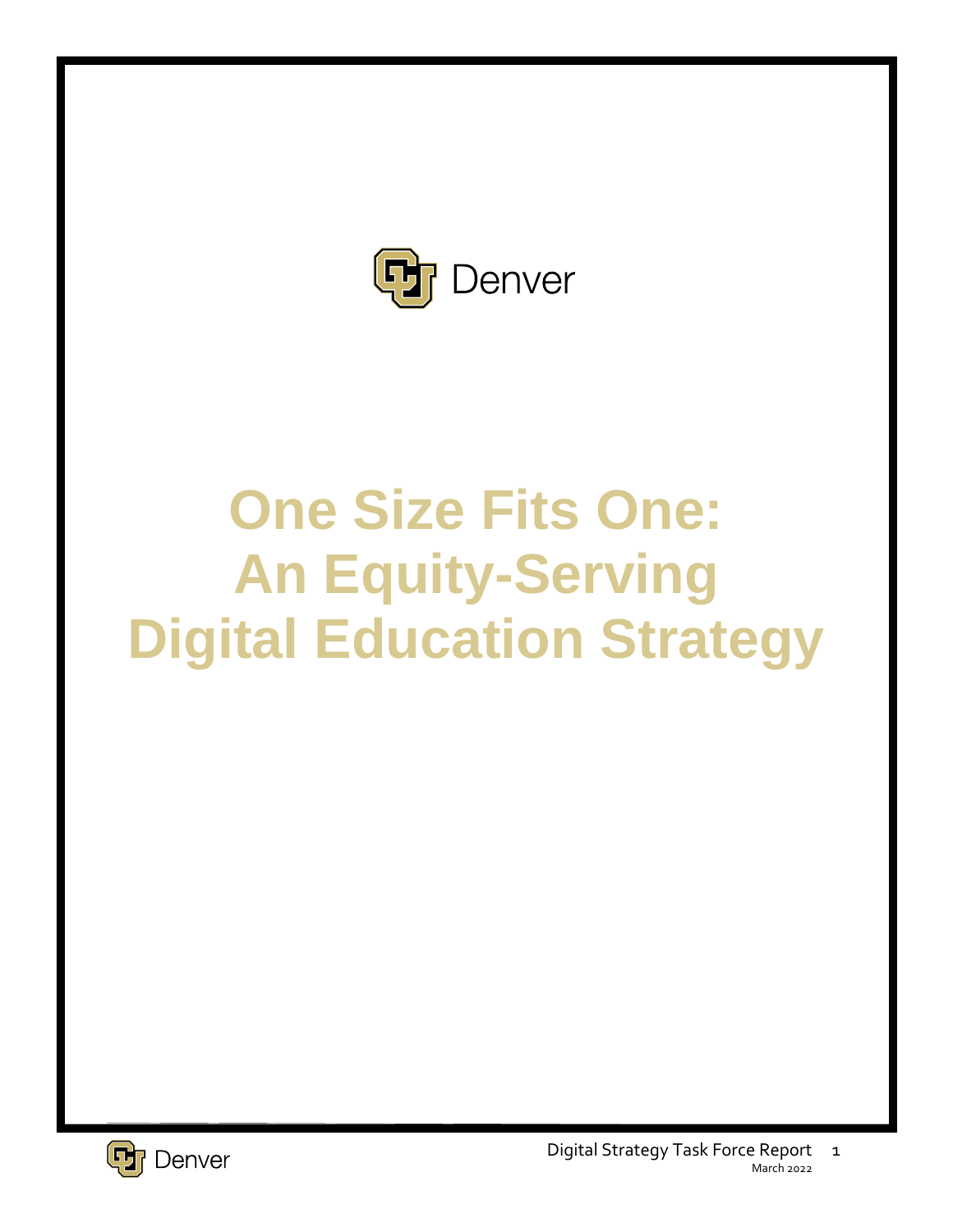

# **One Size Fits One: An Equity-Serving Digital Education Strategy**

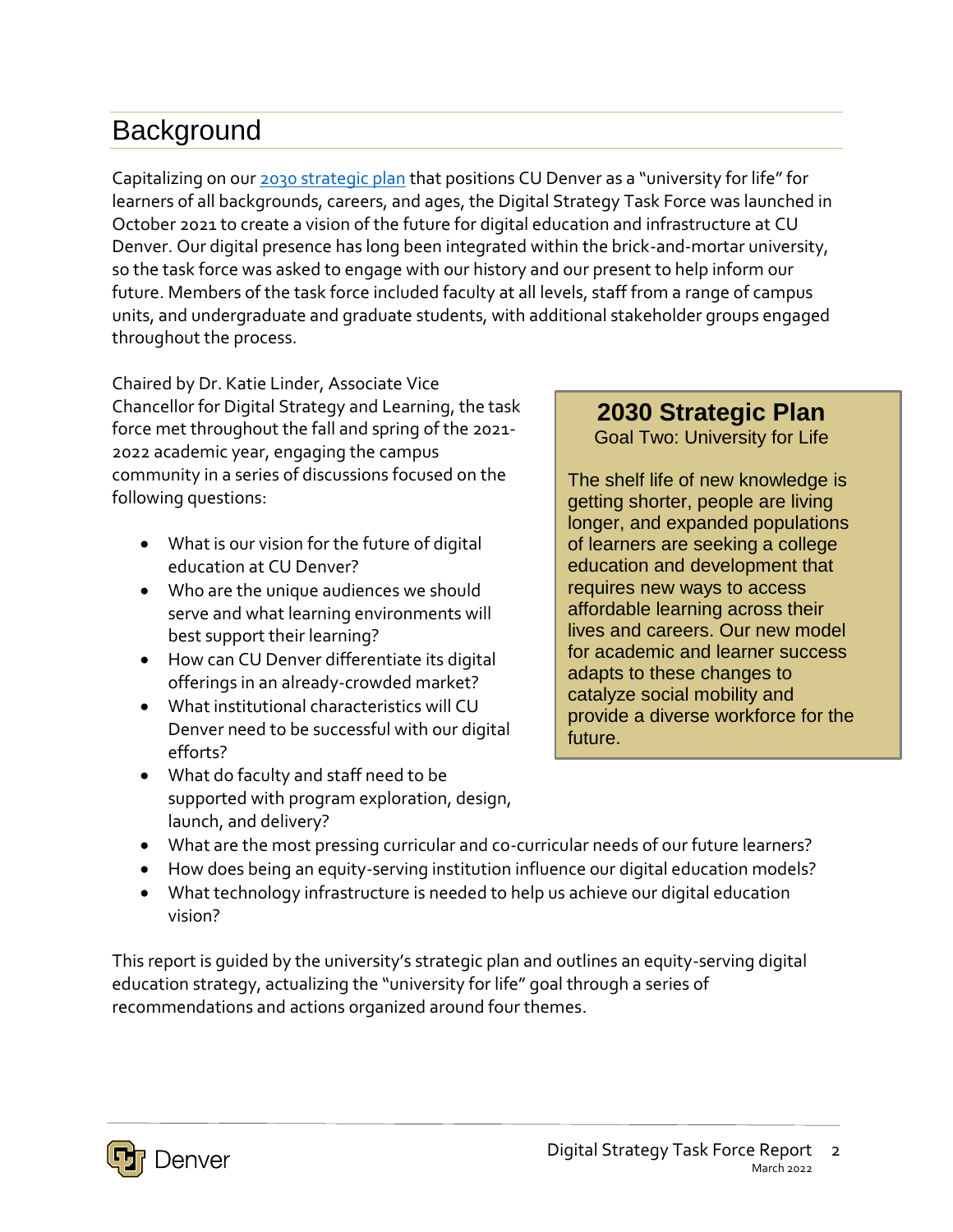# **Background**

Capitalizing on our [2030 strategic plan](http://ucdenver.edu/2030) that positions CU Denver as a "university for life" for learners of all backgrounds, careers, and ages, the Digital Strategy Task Force was launched in October 2021 to create a vision of the future for digital education and infrastructure at CU Denver. Our digital presence has long been integrated within the brick-and-mortar university, so the task force was asked to engage with our history and our present to help inform our future. Members of the task force included faculty at all levels, staff from a range of campus units, and undergraduate and graduate students, with additional stakeholder groups engaged throughout the process.

Chaired by Dr. Katie Linder, Associate Vice Chancellor for Digital Strategy and Learning, the task force met throughout the fall and spring of the 2021- 2022 academic year, engaging the campus community in a series of discussions focused on the following questions:

- What is our vision for the future of digital education at CU Denver?
- Who are the unique audiences we should serve and what learning environments will best support their learning?
- How can CU Denver differentiate its digital offerings in an already-crowded market?
- What institutional characteristics will CU Denver need to be successful with our digital efforts?
- What do faculty and staff need to be supported with program exploration, design, launch, and delivery?

#### **2030 Strategic Plan**

Goal Two: University for Life

The shelf life of new knowledge is getting shorter, people are living longer, and expanded populations of learners are seeking a college education and development that requires new ways to access affordable learning across their lives and careers. Our new model for academic and learner success adapts to these changes to catalyze social mobility and provide a diverse workforce for the future.

- What are the most pressing curricular and co-curricular needs of our future learners?
- How does being an equity-serving institution influence our digital education models?
- What technology infrastructure is needed to help us achieve our digital education vision?

This report is guided by the university's strategic plan and outlines an equity-serving digital education strategy, actualizing the "university for life" goal through a series of recommendations and actions organized around four themes.

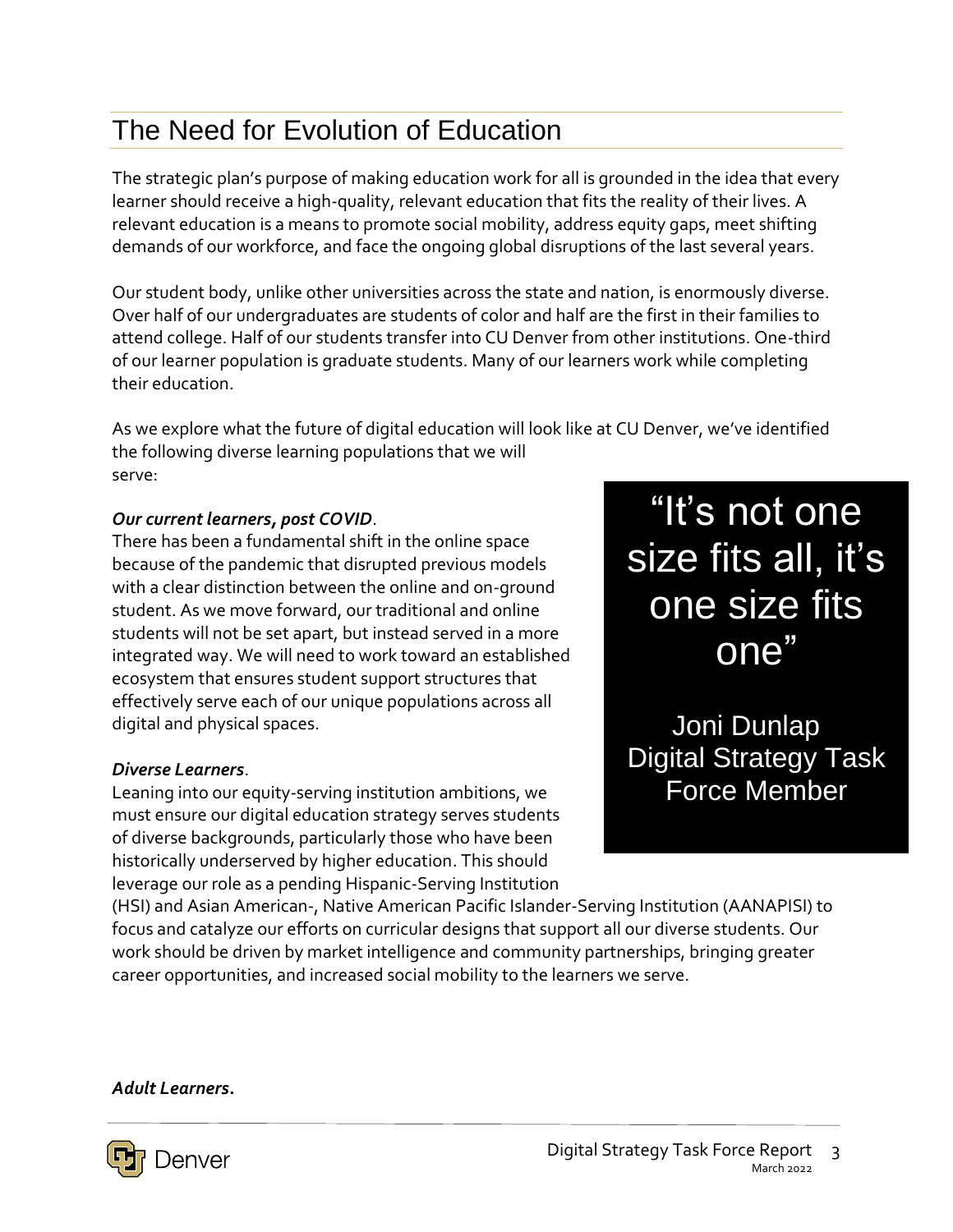# The Need for Evolution of Education

The strategic plan's purpose of making education work for all is grounded in the idea that every learner should receive a high-quality, relevant education that fits the reality of their lives. A relevant education is a means to promote social mobility, address equity gaps, meet shifting demands of our workforce, and face the ongoing global disruptions of the last several years.

Our student body, unlike other universities across the state and nation, is enormously diverse. Over half of our undergraduates are students of color and half are the first in their families to attend college. Half of our students transfer into CU Denver from other institutions. One-third of our learner population is graduate students. Many of our learners work while completing their education.

As we explore what the future of digital education will look like at CU Denver, we've identified the following diverse learning populations that we will serve:

#### *Our current learners, post COVID*.

There has been a fundamental shift in the online space because of the pandemic that disrupted previous models with a clear distinction between the online and on-ground student. As we move forward, our traditional and online students will not be set apart, but instead served in a more integrated way. We will need to work toward an established ecosystem that ensures student support structures that effectively serve each of our unique populations across all digital and physical spaces.

#### *Diverse Learners*.

Leaning into our equity-serving institution ambitions, we must ensure our digital education strategy serves students of diverse backgrounds, particularly those who have been historically underserved by higher education. This should leverage our role as a pending Hispanic-Serving Institution

"It's not one size fits all, it's one size fits one"

Joni Dunlap Digital Strategy Task Force Member

(HSI) and Asian American-, Native American Pacific Islander-Serving Institution (AANAPISI) to focus and catalyze our efforts on curricular designs that support all our diverse students. Our work should be driven by market intelligence and community partnerships, bringing greater career opportunities, and increased social mobility to the learners we serve.

*Adult Learners***.**

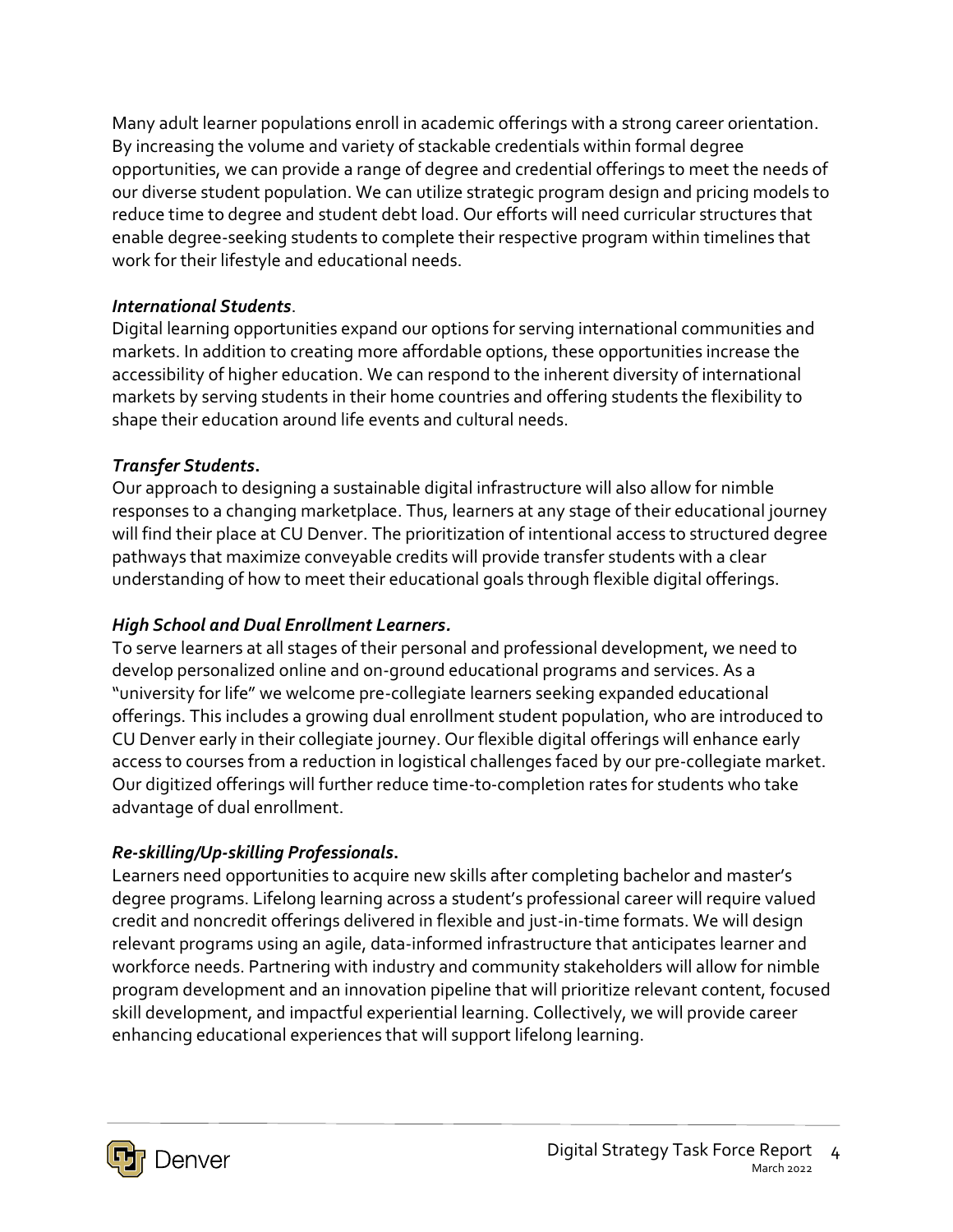Many adult learner populations enroll in academic offerings with a strong career orientation. By increasing the volume and variety of stackable credentials within formal degree opportunities, we can provide a range of degree and credential offerings to meet the needs of our diverse student population. We can utilize strategic program design and pricing models to reduce time to degree and student debt load. Our efforts will need curricular structures that enable degree-seeking students to complete their respective program within timelines that work for their lifestyle and educational needs.

#### *International Students*.

Digital learning opportunities expand our options for serving international communities and markets. In addition to creating more affordable options, these opportunities increase the accessibility of higher education. We can respond to the inherent diversity of international markets by serving students in their home countries and offering students the flexibility to shape their education around life events and cultural needs.

#### *Transfer Students***.**

Our approach to designing a sustainable digital infrastructure will also allow for nimble responses to a changing marketplace. Thus, learners at any stage of their educational journey will find their place at CU Denver. The prioritization of intentional access to structured degree pathways that maximize conveyable credits will provide transfer students with a clear understanding of how to meet their educational goals through flexible digital offerings.

#### *High School and Dual Enrollment Learners.*

To serve learners at all stages of their personal and professional development, we need to develop personalized online and on-ground educational programs and services. As a "university for life" we welcome pre-collegiate learners seeking expanded educational offerings. This includes a growing dual enrollment student population, who are introduced to CU Denver early in their collegiate journey. Our flexible digital offerings will enhance early access to courses from a reduction in logistical challenges faced by our pre-collegiate market. Our digitized offerings will further reduce time-to-completion rates for students who take advantage of dual enrollment.

#### *Re-skilling/Up-skilling Professionals***.**

Learners need opportunities to acquire new skills after completing bachelor and master's degree programs. Lifelong learning across a student's professional career will require valued credit and noncredit offerings delivered in flexible and just-in-time formats. We will design relevant programs using an agile, data-informed infrastructure that anticipates learner and workforce needs. Partnering with industry and community stakeholders will allow for nimble program development and an innovation pipeline that will prioritize relevant content, focused skill development, and impactful experiential learning. Collectively, we will provide career enhancing educational experiences that will support lifelong learning.

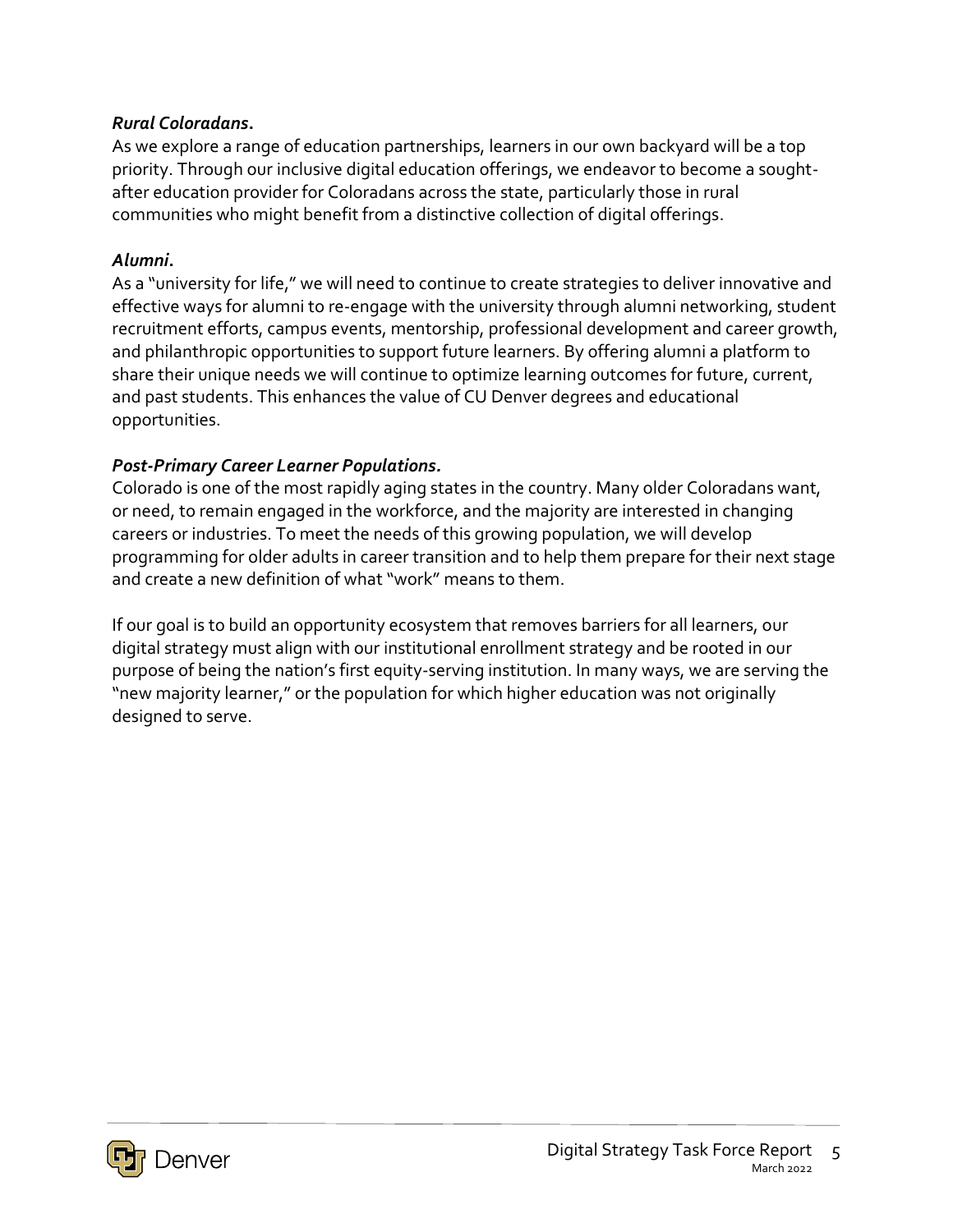#### *Rural Coloradans***.**

As we explore a range of education partnerships, learners in our own backyard will be a top priority. Through our inclusive digital education offerings, we endeavor to become a soughtafter education provider for Coloradans across the state, particularly those in rural communities who might benefit from a distinctive collection of digital offerings.

#### *Alumni***.**

As a "university for life," we will need to continue to create strategies to deliver innovative and effective ways for alumni to re-engage with the university through alumni networking, student recruitment efforts, campus events, mentorship, professional development and career growth, and philanthropic opportunities to support future learners. By offering alumni a platform to share their unique needs we will continue to optimize learning outcomes for future, current, and past students. This enhances the value of CU Denver degrees and educational opportunities.

#### *Post-Primary Career Learner Populations.*

Colorado is one of the most rapidly aging states in the country. Many older Coloradans want, or need, to remain engaged in the workforce, and the majority are interested in changing careers or industries. To meet the needs of this growing population, we will develop programming for older adults in career transition and to help them prepare for their next stage and create a new definition of what "work" means to them.

If our goal is to build an opportunity ecosystem that removes barriers for all learners, our digital strategy must align with our institutional enrollment strategy and be rooted in our purpose of being the nation's first equity-serving institution. In many ways, we are serving the "new majority learner," or the population for which higher education was not originally designed to serve.

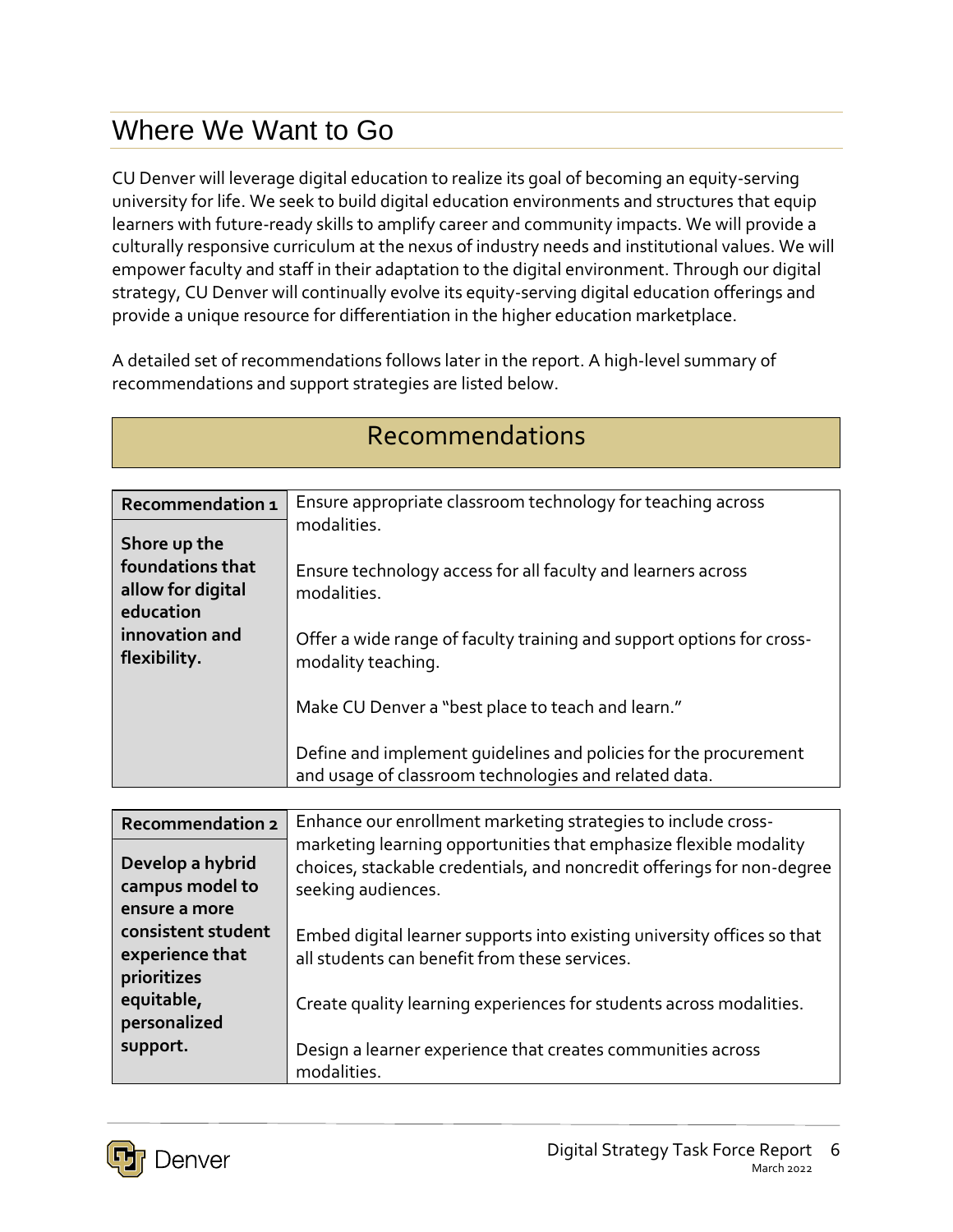# Where We Want to Go

CU Denver will leverage digital education to realize its goal of becoming an equity-serving university for life. We seek to build digital education environments and structures that equip learners with future-ready skills to amplify career and community impacts. We will provide a culturally responsive curriculum at the nexus of industry needs and institutional values. We will empower faculty and staff in their adaptation to the digital environment. Through our digital strategy, CU Denver will continually evolve its equity-serving digital education offerings and provide a unique resource for differentiation in the higher education marketplace.

A detailed set of recommendations follows later in the report. A high-level summary of recommendations and support strategies are listed below.

| Recommendation 1        | Ensure appropriate classroom technology for teaching across             |
|-------------------------|-------------------------------------------------------------------------|
|                         | modalities.                                                             |
| Shore up the            |                                                                         |
| foundations that        | Ensure technology access for all faculty and learners across            |
| allow for digital       | modalities.                                                             |
| education               |                                                                         |
| innovation and          | Offer a wide range of faculty training and support options for cross-   |
| flexibility.            | modality teaching.                                                      |
|                         |                                                                         |
|                         | Make CU Denver a "best place to teach and learn."                       |
|                         | Define and implement quidelines and policies for the procurement        |
|                         | and usage of classroom technologies and related data.                   |
|                         |                                                                         |
| <b>Recommendation 2</b> | Enhance our enrollment marketing strategies to include cross-           |
|                         | marketing learning opportunities that emphasize flexible modality       |
| Develop a hybrid        | choices, stackable credentials, and noncredit offerings for non-degree  |
| campus model to         | seeking audiences.                                                      |
| ensure a more           |                                                                         |
| consistent student      | Embed digital learner supports into existing university offices so that |
| experience that         | all students can benefit from these services.                           |
| prioritizes             |                                                                         |
| equitable,              | Create quality learning experiences for students across modalities.     |
| personalized            |                                                                         |
| support.                | Design a learner experience that creates communities across             |
|                         | modalities.                                                             |

### Recommendations

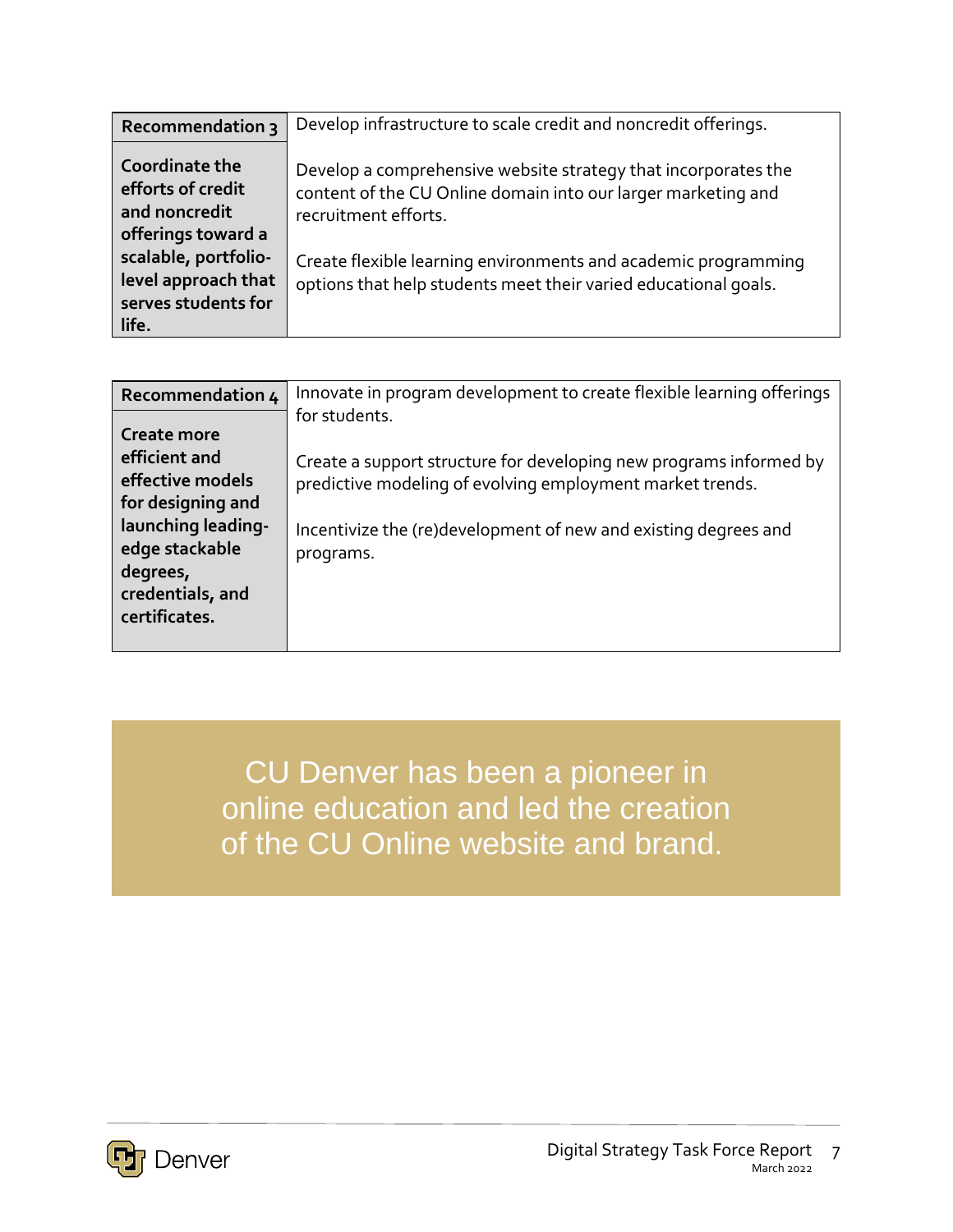| <b>Recommendation 3</b>                                                                            | Develop infrastructure to scale credit and noncredit offerings.                                                                                                                                                           |
|----------------------------------------------------------------------------------------------------|---------------------------------------------------------------------------------------------------------------------------------------------------------------------------------------------------------------------------|
| Coordinate the<br>efforts of credit<br>and noncredit<br>offerings toward a<br>scalable, portfolio- | Develop a comprehensive website strategy that incorporates the<br>content of the CU Online domain into our larger marketing and<br>recruitment efforts.<br>Create flexible learning environments and academic programming |
| level approach that<br>serves students for<br>life.                                                | options that help students meet their varied educational goals.                                                                                                                                                           |

| Recommendation 4                                                                                                                                                      | Innovate in program development to create flexible learning offerings                                                                                                                                                            |
|-----------------------------------------------------------------------------------------------------------------------------------------------------------------------|----------------------------------------------------------------------------------------------------------------------------------------------------------------------------------------------------------------------------------|
| <b>Create more</b><br>efficient and<br>effective models<br>for designing and<br>launching leading-<br>edge stackable<br>degrees,<br>credentials, and<br>certificates. | for students.<br>Create a support structure for developing new programs informed by<br>predictive modeling of evolving employment market trends.<br>Incentivize the (re)development of new and existing degrees and<br>programs. |

CU Denver has been a pioneer in online education and led the creation of the CU Online website and brand.

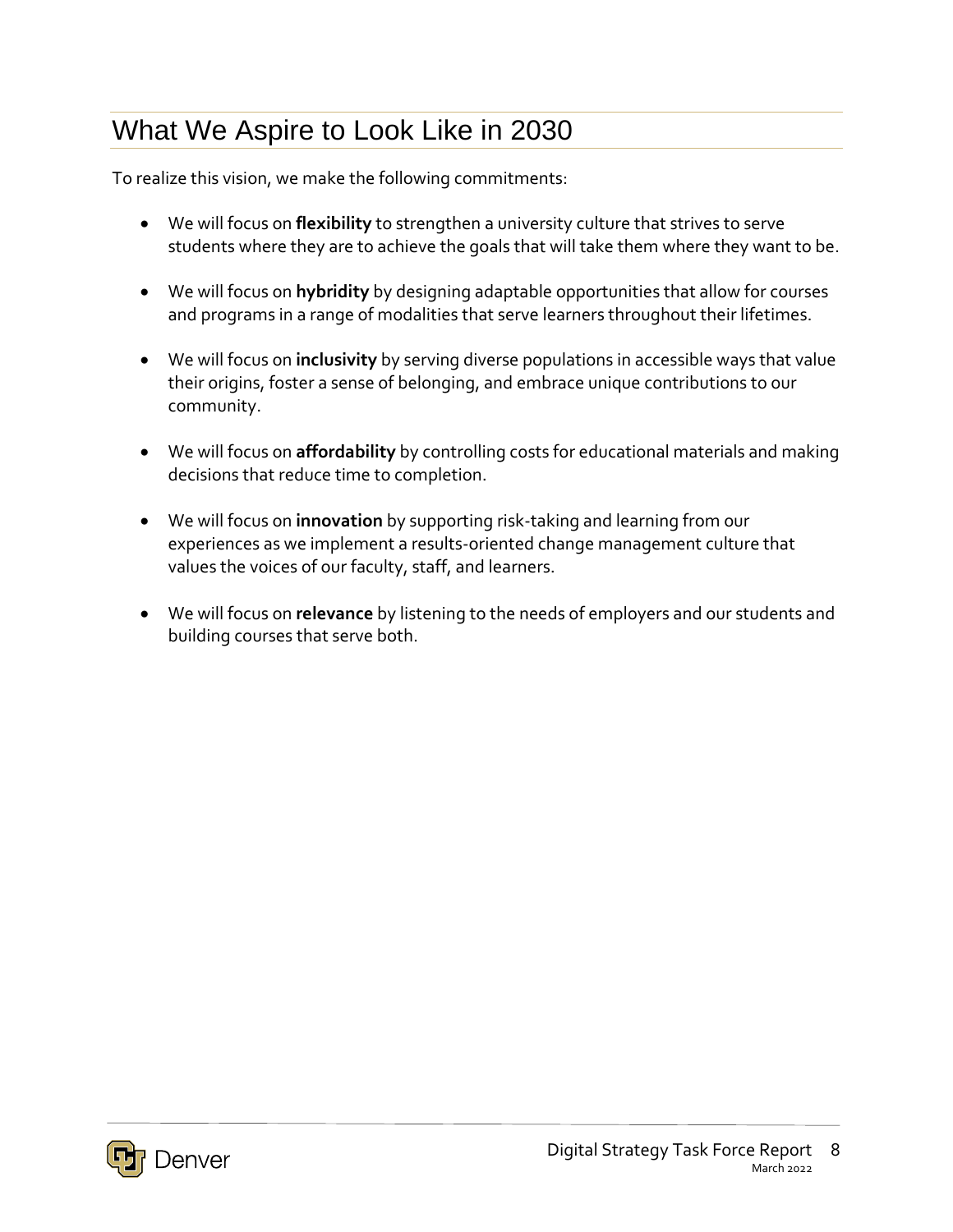# What We Aspire to Look Like in 2030

To realize this vision, we make the following commitments:

- We will focus on **flexibility** to strengthen a university culture that strives to serve students where they are to achieve the goals that will take them where they want to be.
- We will focus on **hybridity** by designing adaptable opportunities that allow for courses and programs in a range of modalities that serve learners throughout their lifetimes.
- We will focus on **inclusivity** by serving diverse populations in accessible ways that value their origins, foster a sense of belonging, and embrace unique contributions to our community.
- We will focus on **affordability** by controlling costs for educational materials and making decisions that reduce time to completion.
- We will focus on **innovation** by supporting risk-taking and learning from our experiences as we implement a results-oriented change management culture that values the voices of our faculty, staff, and learners.
- We will focus on **relevance** by listening to the needs of employers and our students and building courses that serve both.

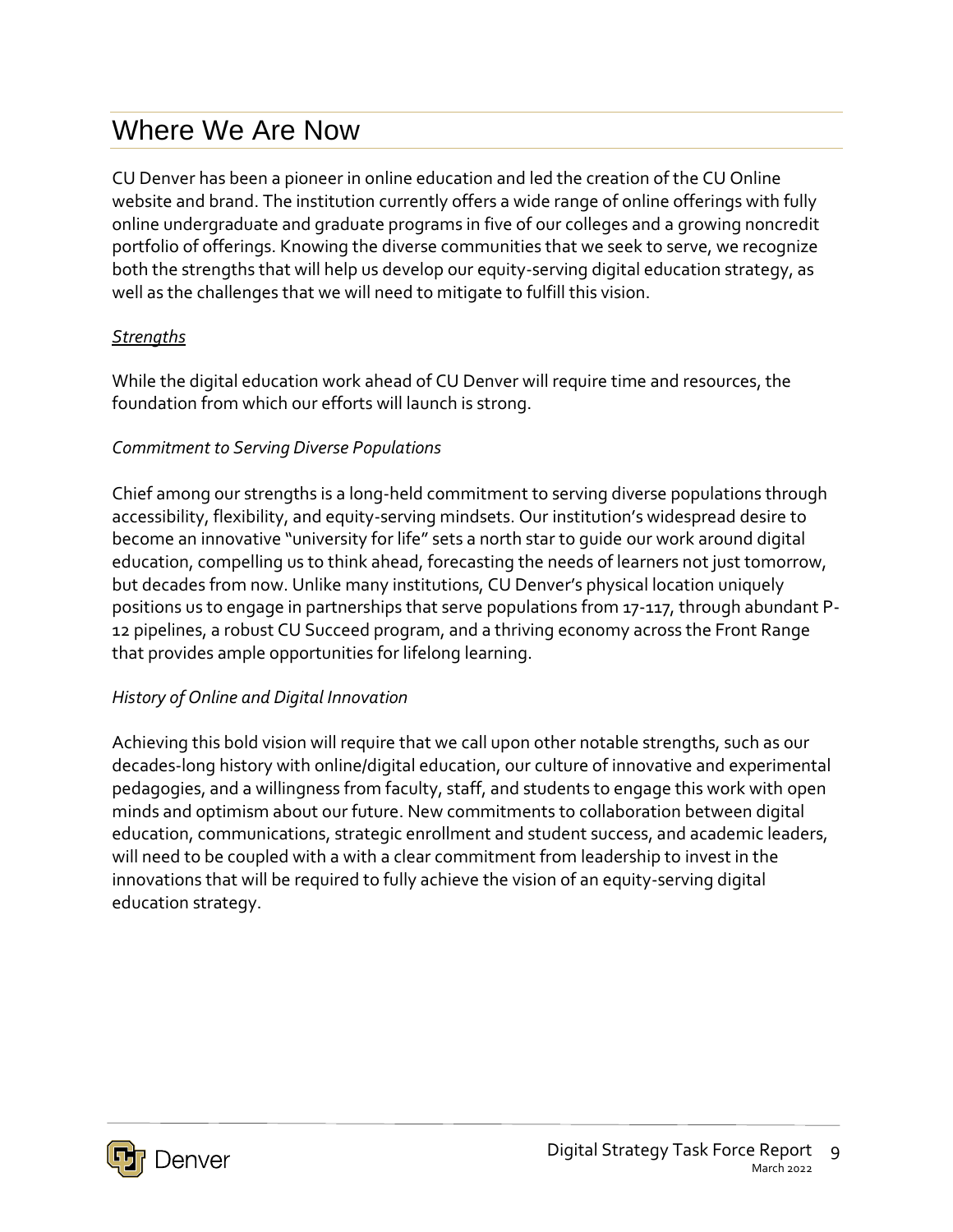### Where We Are Now

CU Denver has been a pioneer in online education and led the creation of the CU Online website and brand. The institution currently offers a wide range of online offerings with fully online undergraduate and graduate programs in five of our colleges and a growing noncredit portfolio of offerings. Knowing the diverse communities that we seek to serve, we recognize both the strengths that will help us develop our equity-serving digital education strategy, as well as the challenges that we will need to mitigate to fulfill this vision.

#### *Strengths*

While the digital education work ahead of CU Denver will require time and resources, the foundation from which our efforts will launch is strong.

#### *Commitment to Serving Diverse Populations*

Chief among our strengths is a long-held commitment to serving diverse populations through accessibility, flexibility, and equity-serving mindsets. Our institution's widespread desire to become an innovative "university for life" sets a north star to guide our work around digital education, compelling us to think ahead, forecasting the needs of learners not just tomorrow, but decades from now. Unlike many institutions, CU Denver's physical location uniquely positions us to engage in partnerships that serve populations from 17-117, through abundant P-12 pipelines, a robust CU Succeed program, and a thriving economy across the Front Range that provides ample opportunities for lifelong learning.

#### *History of Online and Digital Innovation*

Achieving this bold vision will require that we call upon other notable strengths, such as our decades-long history with online/digital education, our culture of innovative and experimental pedagogies, and a willingness from faculty, staff, and students to engage this work with open minds and optimism about our future. New commitments to collaboration between digital education, communications, strategic enrollment and student success, and academic leaders, will need to be coupled with a with a clear commitment from leadership to invest in the innovations that will be required to fully achieve the vision of an equity-serving digital education strategy.

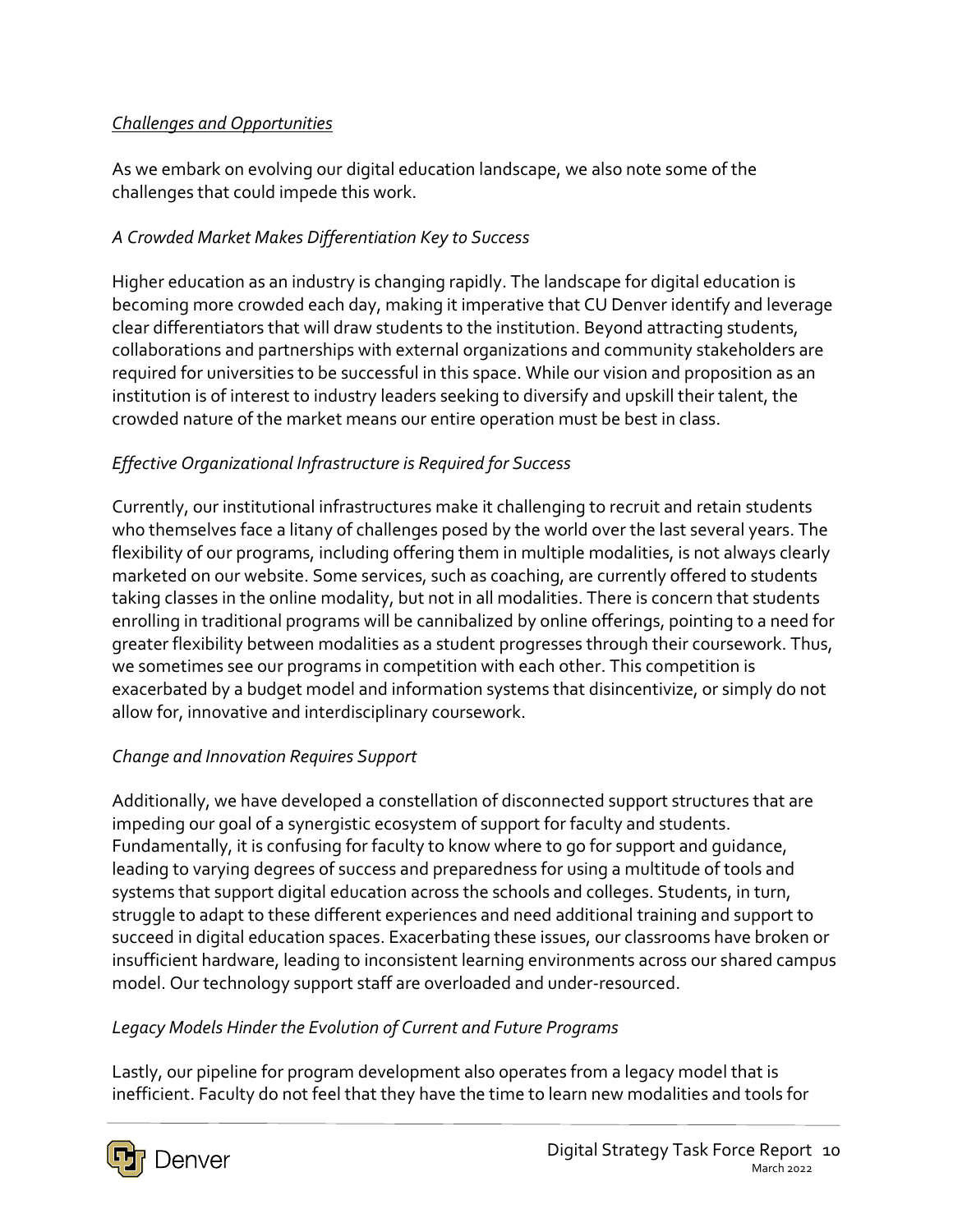#### *Challenges and Opportunities*

As we embark on evolving our digital education landscape, we also note some of the challenges that could impede this work.

#### *A Crowded Market Makes Differentiation Key to Success*

Higher education as an industry is changing rapidly. The landscape for digital education is becoming more crowded each day, making it imperative that CU Denver identify and leverage clear differentiators that will draw students to the institution. Beyond attracting students, collaborations and partnerships with external organizations and community stakeholders are required for universities to be successful in this space. While our vision and proposition as an institution is of interest to industry leaders seeking to diversify and upskill their talent, the crowded nature of the market means our entire operation must be best in class.

#### *Effective Organizational Infrastructure is Required for Success*

Currently, our institutional infrastructures make it challenging to recruit and retain students who themselves face a litany of challenges posed by the world over the last several years. The flexibility of our programs, including offering them in multiple modalities, is not always clearly marketed on our website. Some services, such as coaching, are currently offered to students taking classes in the online modality, but not in all modalities. There is concern that students enrolling in traditional programs will be cannibalized by online offerings, pointing to a need for greater flexibility between modalities as a student progresses through their coursework. Thus, we sometimes see our programs in competition with each other. This competition is exacerbated by a budget model and information systems that disincentivize, or simply do not allow for, innovative and interdisciplinary coursework.

#### *Change and Innovation Requires Support*

Additionally, we have developed a constellation of disconnected support structures that are impeding our goal of a synergistic ecosystem of support for faculty and students. Fundamentally, it is confusing for faculty to know where to go for support and guidance, leading to varying degrees of success and preparedness for using a multitude of tools and systems that support digital education across the schools and colleges. Students, in turn, struggle to adapt to these different experiences and need additional training and support to succeed in digital education spaces. Exacerbating these issues, our classrooms have broken or insufficient hardware, leading to inconsistent learning environments across our shared campus model. Our technology support staff are overloaded and under-resourced.

#### *Legacy Models Hinder the Evolution of Current and Future Programs*

Lastly, our pipeline for program development also operates from a legacy model that is inefficient. Faculty do not feel that they have the time to learn new modalities and tools for

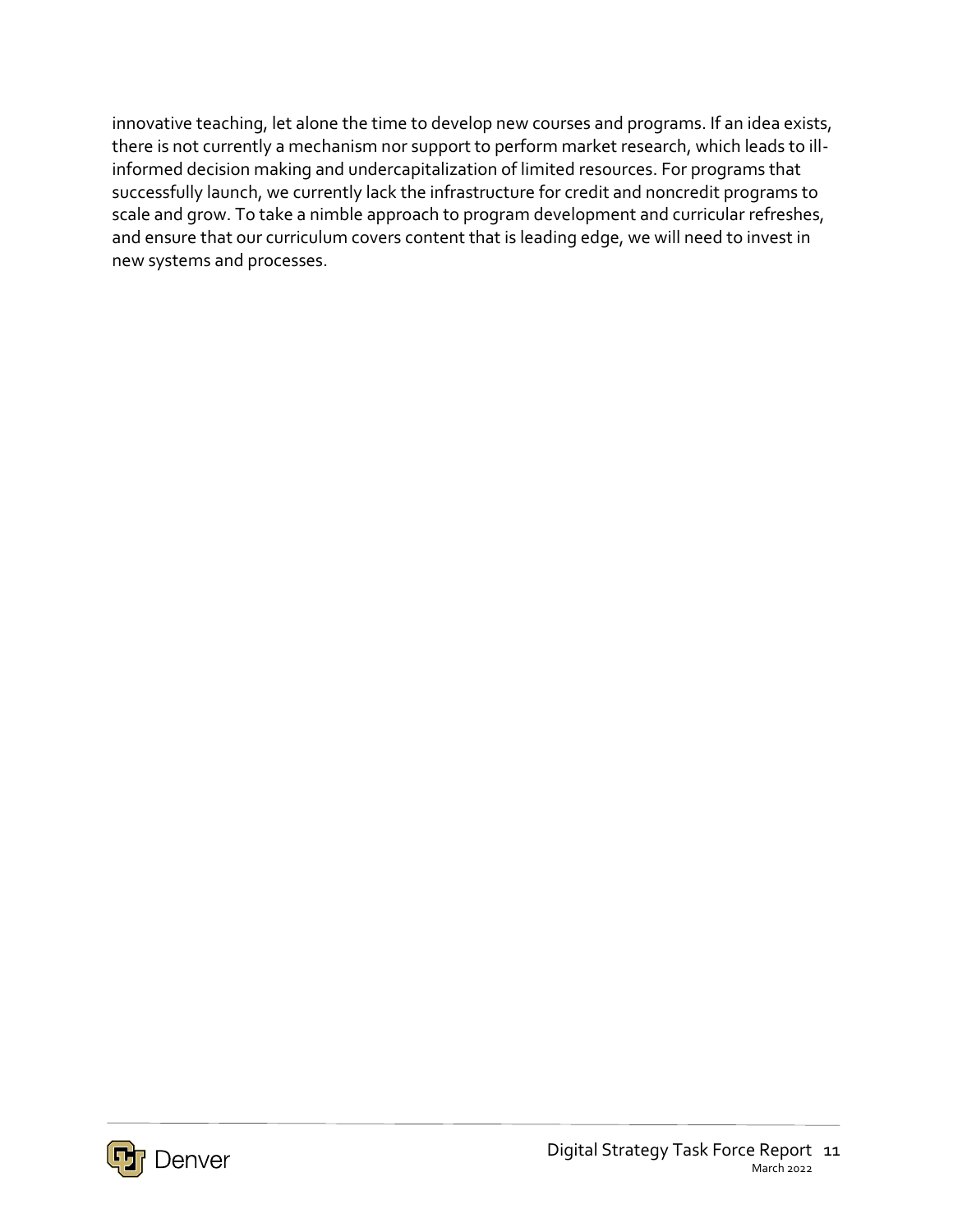innovative teaching, let alone the time to develop new courses and programs. If an idea exists, there is not currently a mechanism nor support to perform market research, which leads to illinformed decision making and undercapitalization of limited resources. For programs that successfully launch, we currently lack the infrastructure for credit and noncredit programs to scale and grow. To take a nimble approach to program development and curricular refreshes, and ensure that our curriculum covers content that is leading edge, we will need to invest in new systems and processes.

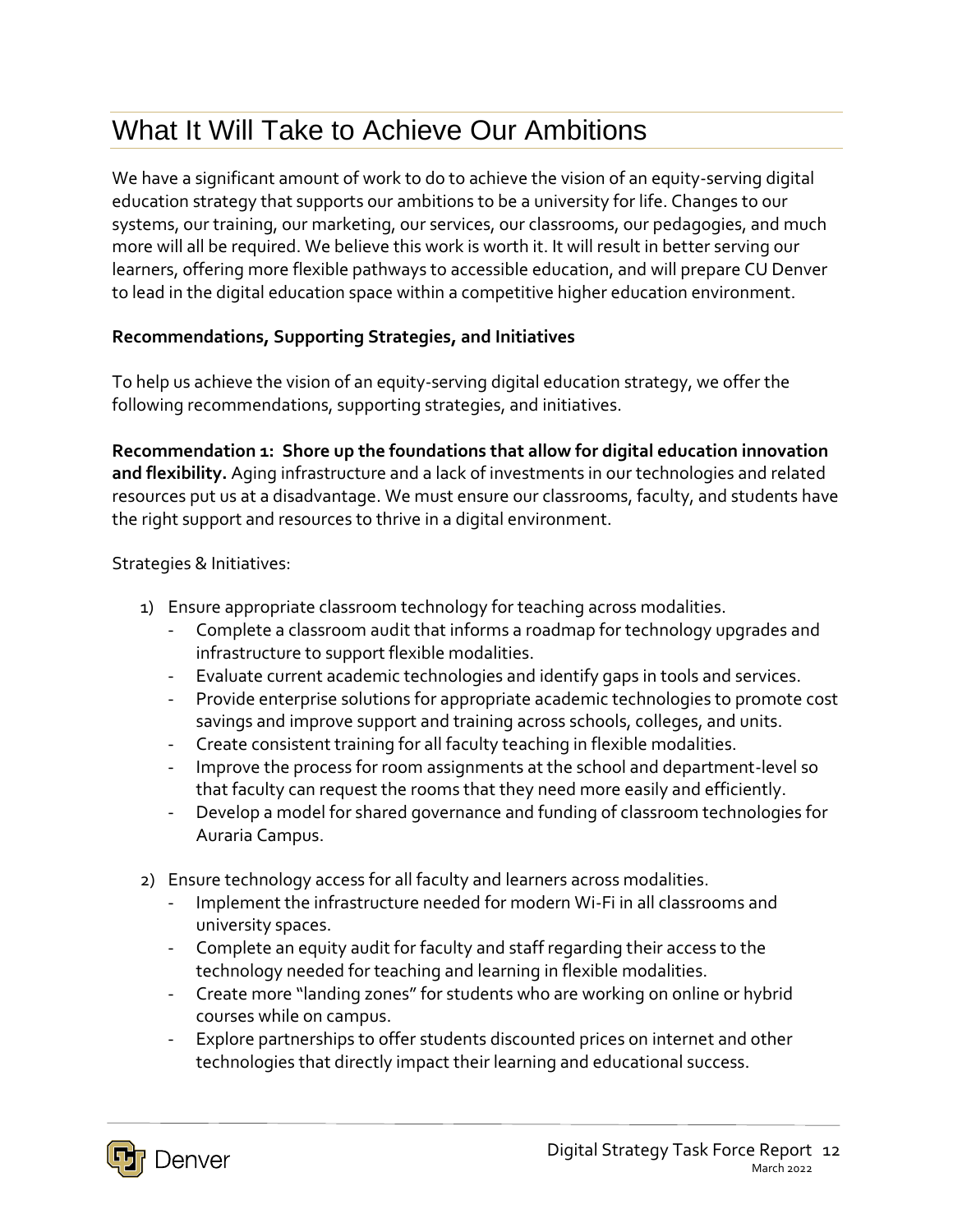# What It Will Take to Achieve Our Ambitions

We have a significant amount of work to do to achieve the vision of an equity-serving digital education strategy that supports our ambitions to be a university for life. Changes to our systems, our training, our marketing, our services, our classrooms, our pedagogies, and much more will all be required. We believe this work is worth it. It will result in better serving our learners, offering more flexible pathways to accessible education, and will prepare CU Denver to lead in the digital education space within a competitive higher education environment.

#### **Recommendations, Supporting Strategies, and Initiatives**

To help us achieve the vision of an equity-serving digital education strategy, we offer the following recommendations, supporting strategies, and initiatives.

**Recommendation 1: Shore up the foundations that allow for digital education innovation and flexibility.** Aging infrastructure and a lack of investments in our technologies and related resources put us at a disadvantage. We must ensure our classrooms, faculty, and students have the right support and resources to thrive in a digital environment.

- 1) Ensure appropriate classroom technology for teaching across modalities.
	- Complete a classroom audit that informs a roadmap for technology upgrades and infrastructure to support flexible modalities.
	- Evaluate current academic technologies and identify gaps in tools and services.
	- Provide enterprise solutions for appropriate academic technologies to promote cost savings and improve support and training across schools, colleges, and units.
	- Create consistent training for all faculty teaching in flexible modalities.
	- Improve the process for room assignments at the school and department-level so that faculty can request the rooms that they need more easily and efficiently.
	- Develop a model for shared governance and funding of classroom technologies for Auraria Campus.
- 2) Ensure technology access for all faculty and learners across modalities.
	- Implement the infrastructure needed for modern Wi-Fi in all classrooms and university spaces.
	- Complete an equity audit for faculty and staff regarding their access to the technology needed for teaching and learning in flexible modalities.
	- Create more "landing zones" for students who are working on online or hybrid courses while on campus.
	- Explore partnerships to offer students discounted prices on internet and other technologies that directly impact their learning and educational success.

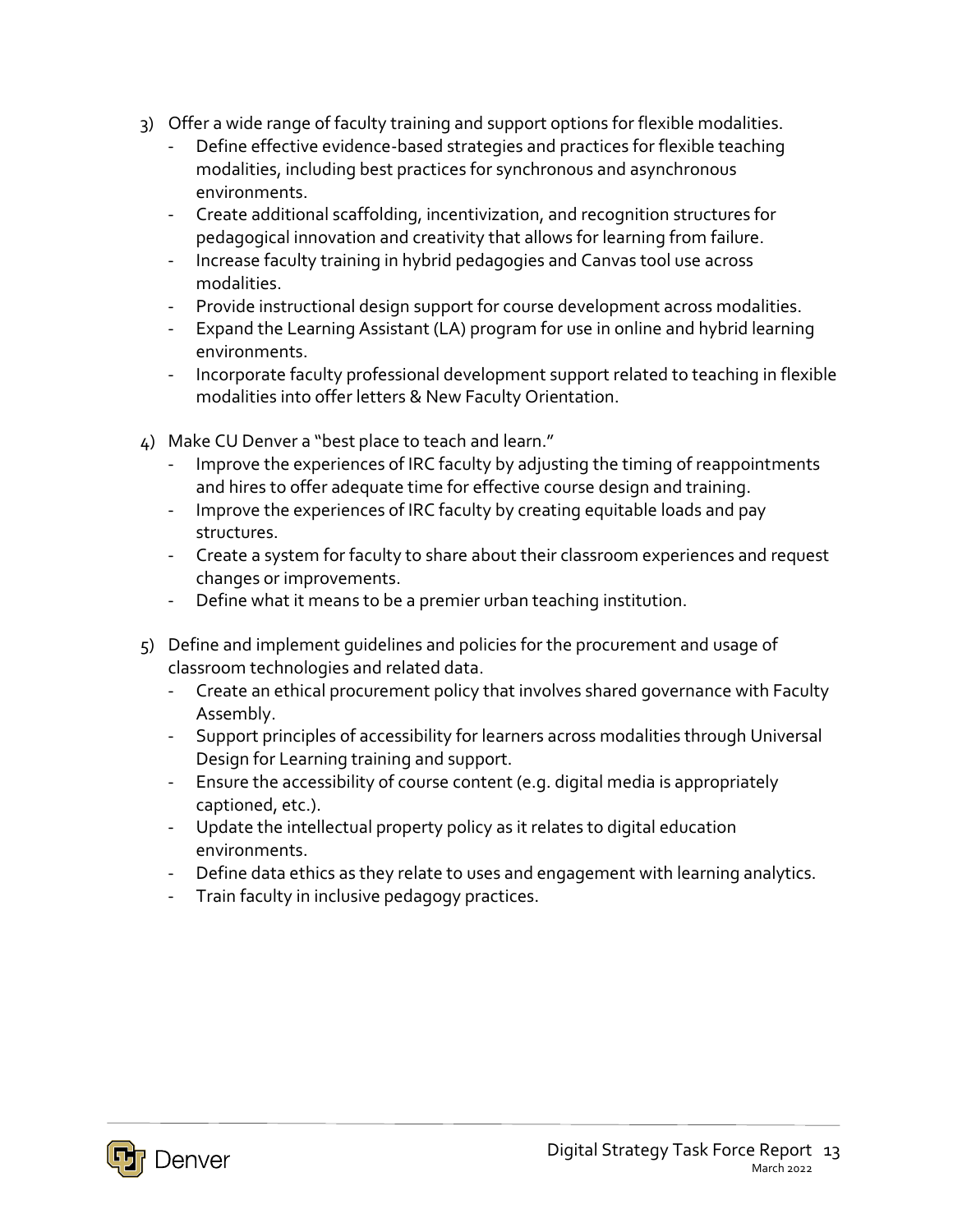- 3) Offer a wide range of faculty training and support options for flexible modalities.
	- Define effective evidence-based strategies and practices for flexible teaching modalities, including best practices for synchronous and asynchronous environments.
	- Create additional scaffolding, incentivization, and recognition structures for pedagogical innovation and creativity that allows for learning from failure.
	- Increase faculty training in hybrid pedagogies and Canvas tool use across modalities.
	- Provide instructional design support for course development across modalities.
	- Expand the Learning Assistant (LA) program for use in online and hybrid learning environments.
	- Incorporate faculty professional development support related to teaching in flexible modalities into offer letters & New Faculty Orientation.
- 4) Make CU Denver a "best place to teach and learn."
	- Improve the experiences of IRC faculty by adjusting the timing of reappointments and hires to offer adequate time for effective course design and training.
	- Improve the experiences of IRC faculty by creating equitable loads and pay structures.
	- Create a system for faculty to share about their classroom experiences and request changes or improvements.
	- Define what it means to be a premier urban teaching institution.
- 5) Define and implement guidelines and policies for the procurement and usage of classroom technologies and related data.
	- Create an ethical procurement policy that involves shared governance with Faculty Assembly.
	- Support principles of accessibility for learners across modalities through Universal Design for Learning training and support.
	- Ensure the accessibility of course content (e.g. digital media is appropriately captioned, etc.).
	- Update the intellectual property policy as it relates to digital education environments.
	- Define data ethics as they relate to uses and engagement with learning analytics.
	- Train faculty in inclusive pedagogy practices.

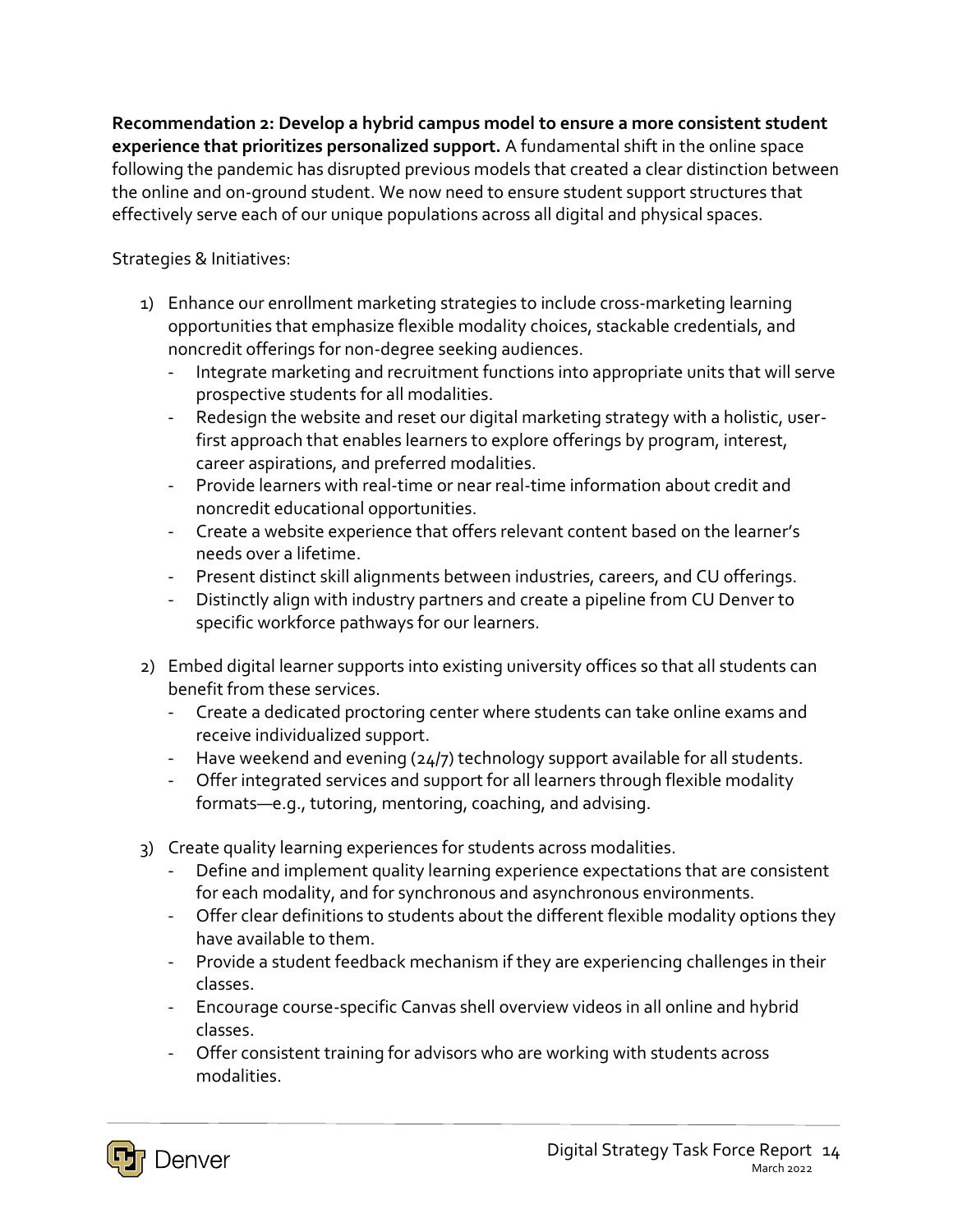**Recommendation 2: Develop a hybrid campus model to ensure a more consistent student experience that prioritizes personalized support.** A fundamental shift in the online space following the pandemic has disrupted previous models that created a clear distinction between the online and on-ground student. We now need to ensure student support structures that effectively serve each of our unique populations across all digital and physical spaces.

- 1) Enhance our enrollment marketing strategies to include cross-marketing learning opportunities that emphasize flexible modality choices, stackable credentials, and noncredit offerings for non-degree seeking audiences.
	- Integrate marketing and recruitment functions into appropriate units that will serve prospective students for all modalities.
	- Redesign the website and reset our digital marketing strategy with a holistic, userfirst approach that enables learners to explore offerings by program, interest, career aspirations, and preferred modalities.
	- Provide learners with real-time or near real-time information about credit and noncredit educational opportunities.
	- Create a website experience that offers relevant content based on the learner's needs over a lifetime.
	- Present distinct skill alignments between industries, careers, and CU offerings.
	- Distinctly align with industry partners and create a pipeline from CU Denver to specific workforce pathways for our learners.
- 2) Embed digital learner supports into existing university offices so that all students can benefit from these services.
	- Create a dedicated proctoring center where students can take online exams and receive individualized support.
	- Have weekend and evening (24/7) technology support available for all students.
	- Offer integrated services and support for all learners through flexible modality formats—e.g., tutoring, mentoring, coaching, and advising.
- 3) Create quality learning experiences for students across modalities.
	- Define and implement quality learning experience expectations that are consistent for each modality, and for synchronous and asynchronous environments.
	- Offer clear definitions to students about the different flexible modality options they have available to them.
	- Provide a student feedback mechanism if they are experiencing challenges in their classes.
	- Encourage course-specific Canvas shell overview videos in all online and hybrid classes.
	- Offer consistent training for advisors who are working with students across modalities.

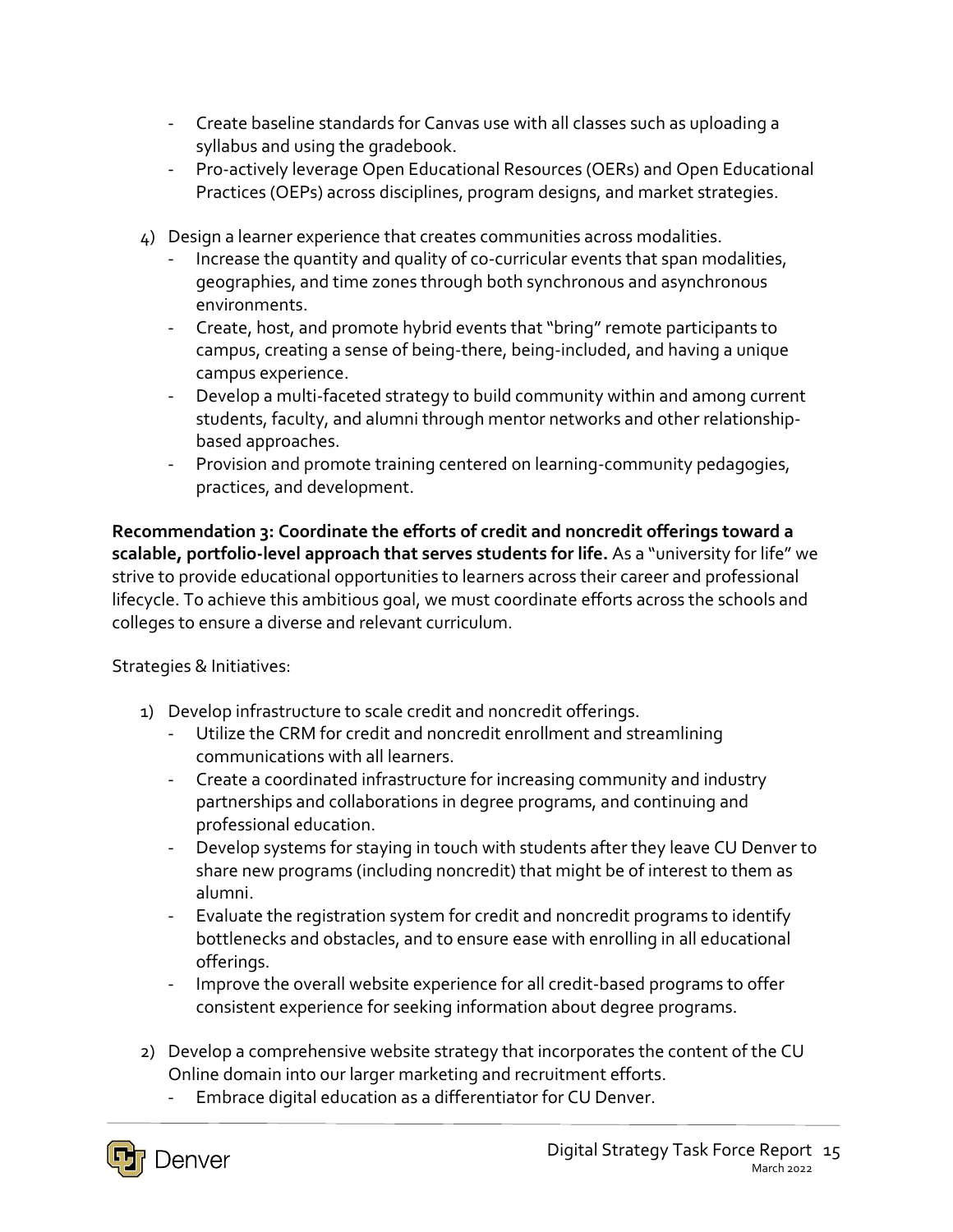- Create baseline standards for Canvas use with all classes such as uploading a syllabus and using the gradebook.
- Pro-actively leverage Open Educational Resources (OERs) and Open Educational Practices (OEPs) across disciplines, program designs, and market strategies.
- 4) Design a learner experience that creates communities across modalities.
	- Increase the quantity and quality of co-curricular events that span modalities, geographies, and time zones through both synchronous and asynchronous environments.
	- Create, host, and promote hybrid events that "bring" remote participants to campus, creating a sense of being-there, being-included, and having a unique campus experience.
	- Develop a multi-faceted strategy to build community within and among current students, faculty, and alumni through mentor networks and other relationshipbased approaches.
	- Provision and promote training centered on learning-community pedagogies, practices, and development.

**Recommendation 3: Coordinate the efforts of credit and noncredit offerings toward a scalable, portfolio-level approach that serves students for life.** As a "university for life" we strive to provide educational opportunities to learners across their career and professional lifecycle. To achieve this ambitious goal, we must coordinate efforts across the schools and colleges to ensure a diverse and relevant curriculum.

- 1) Develop infrastructure to scale credit and noncredit offerings.
	- Utilize the CRM for credit and noncredit enrollment and streamlining communications with all learners.
	- Create a coordinated infrastructure for increasing community and industry partnerships and collaborations in degree programs, and continuing and professional education.
	- Develop systems for staying in touch with students after they leave CU Denver to share new programs (including noncredit) that might be of interest to them as alumni.
	- Evaluate the registration system for credit and noncredit programs to identify bottlenecks and obstacles, and to ensure ease with enrolling in all educational offerings.
	- Improve the overall website experience for all credit-based programs to offer consistent experience for seeking information about degree programs.
- 2) Develop a comprehensive website strategy that incorporates the content of the CU Online domain into our larger marketing and recruitment efforts.
	- Embrace digital education as a differentiator for CU Denver.

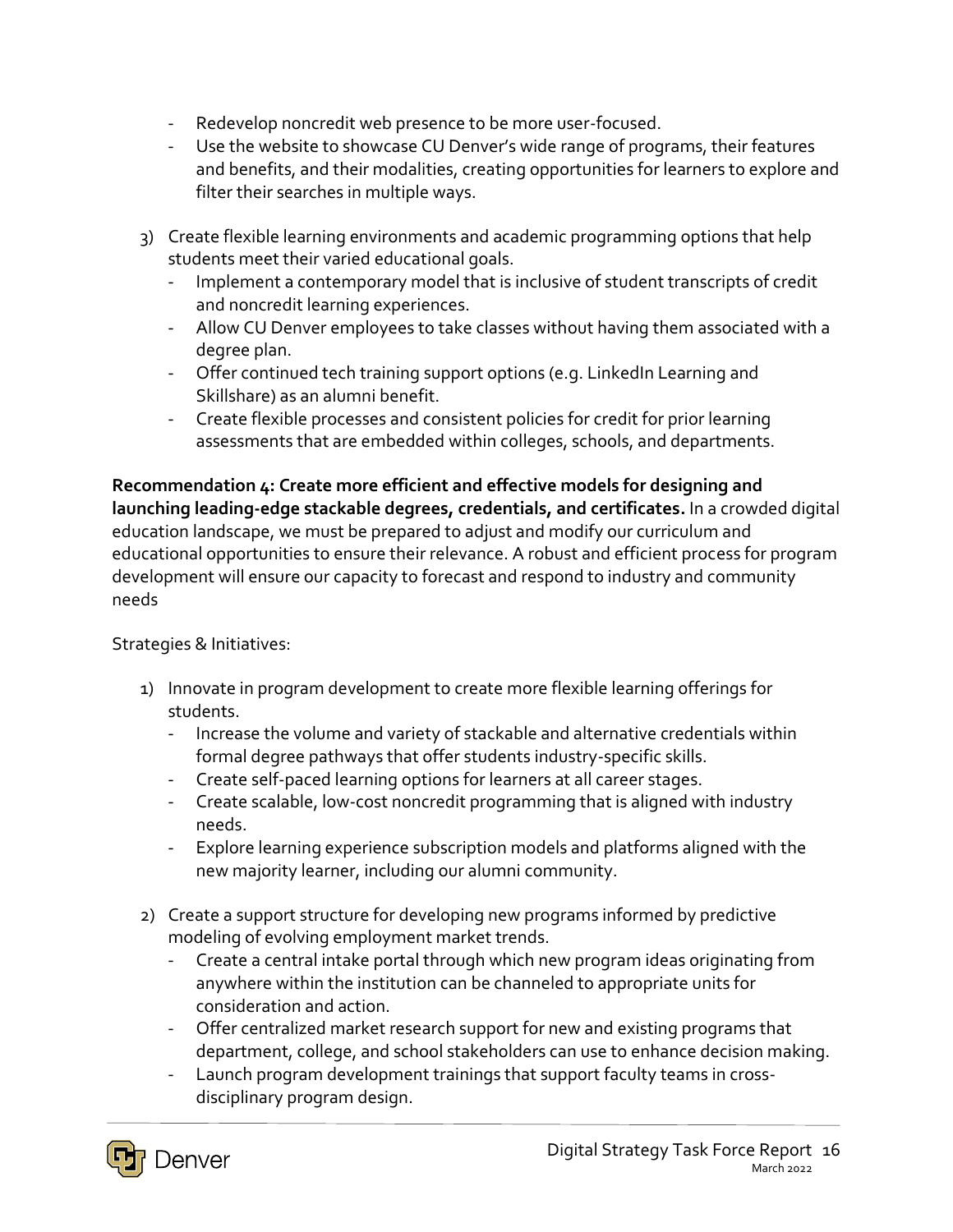- Redevelop noncredit web presence to be more user-focused.
- Use the website to showcase CU Denver's wide range of programs, their features and benefits, and their modalities, creating opportunities for learners to explore and filter their searches in multiple ways.
- 3) Create flexible learning environments and academic programming options that help students meet their varied educational goals.
	- Implement a contemporary model that is inclusive of student transcripts of credit and noncredit learning experiences.
	- Allow CU Denver employees to take classes without having them associated with a degree plan.
	- Offer continued tech training support options (e.g. LinkedIn Learning and Skillshare) as an alumni benefit.
	- Create flexible processes and consistent policies for credit for prior learning assessments that are embedded within colleges, schools, and departments.

**Recommendation 4: Create more efficient and effective models for designing and launching leading-edge stackable degrees, credentials, and certificates.** In a crowded digital education landscape, we must be prepared to adjust and modify our curriculum and educational opportunities to ensure their relevance. A robust and efficient process for program development will ensure our capacity to forecast and respond to industry and community needs

- 1) Innovate in program development to create more flexible learning offerings for students.
	- Increase the volume and variety of stackable and alternative credentials within formal degree pathways that offer students industry-specific skills.
	- Create self-paced learning options for learners at all career stages.
	- Create scalable, low-cost noncredit programming that is aligned with industry needs.
	- Explore learning experience subscription models and platforms aligned with the new majority learner, including our alumni community.
- 2) Create a support structure for developing new programs informed by predictive modeling of evolving employment market trends.
	- Create a central intake portal through which new program ideas originating from anywhere within the institution can be channeled to appropriate units for consideration and action.
	- Offer centralized market research support for new and existing programs that department, college, and school stakeholders can use to enhance decision making.
	- Launch program development trainings that support faculty teams in crossdisciplinary program design.

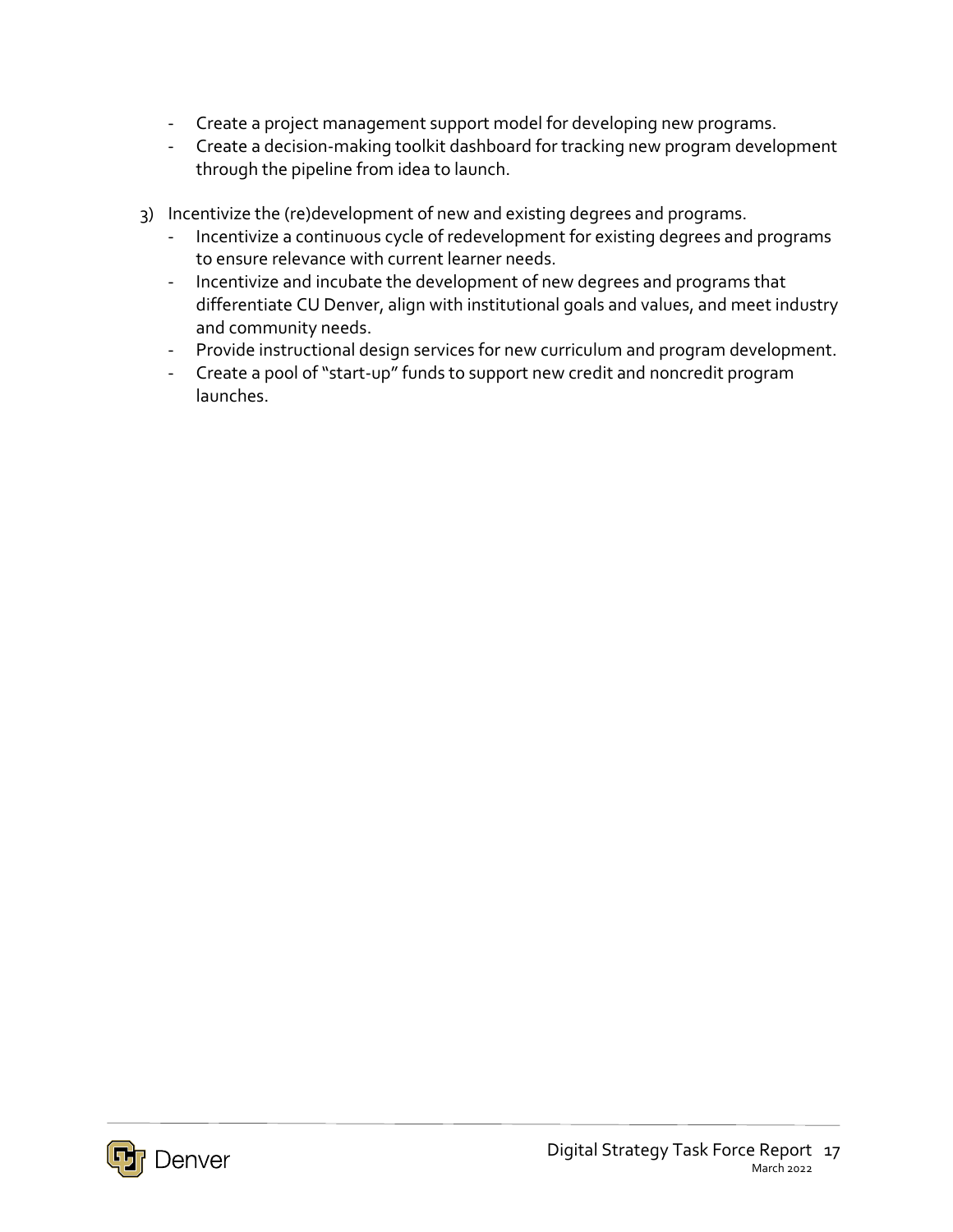- Create a project management support model for developing new programs.
- Create a decision-making toolkit dashboard for tracking new program development through the pipeline from idea to launch.
- 3) Incentivize the (re)development of new and existing degrees and programs.
	- Incentivize a continuous cycle of redevelopment for existing degrees and programs to ensure relevance with current learner needs.
	- Incentivize and incubate the development of new degrees and programs that differentiate CU Denver, align with institutional goals and values, and meet industry and community needs.
	- Provide instructional design services for new curriculum and program development.
	- Create a pool of "start-up" funds to support new credit and noncredit program launches.

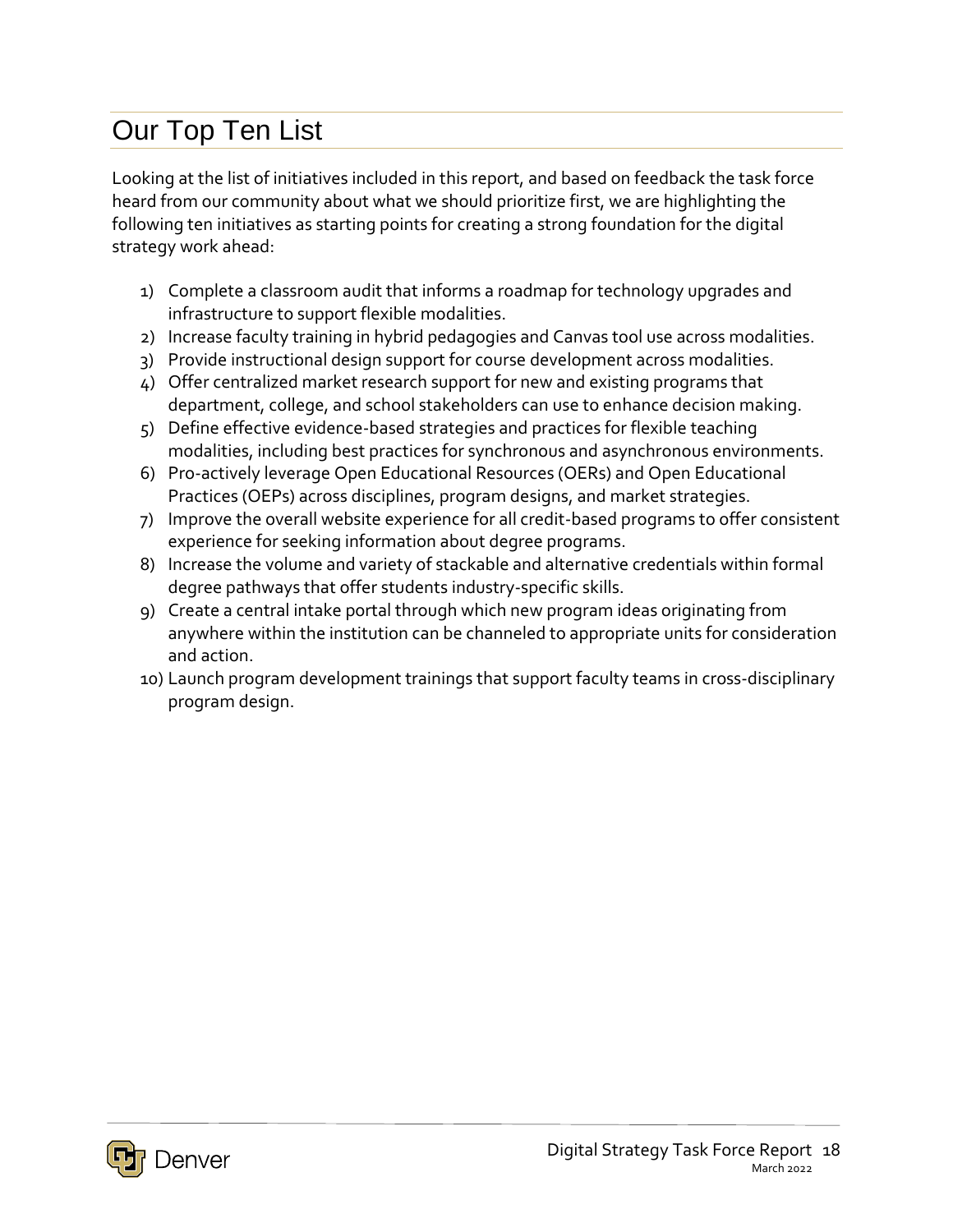# Our Top Ten List

Looking at the list of initiatives included in this report, and based on feedback the task force heard from our community about what we should prioritize first, we are highlighting the following ten initiatives as starting points for creating a strong foundation for the digital strategy work ahead:

- 1) Complete a classroom audit that informs a roadmap for technology upgrades and infrastructure to support flexible modalities.
- 2) Increase faculty training in hybrid pedagogies and Canvas tool use across modalities.
- 3) Provide instructional design support for course development across modalities.
- 4) Offer centralized market research support for new and existing programs that department, college, and school stakeholders can use to enhance decision making.
- 5) Define effective evidence-based strategies and practices for flexible teaching modalities, including best practices for synchronous and asynchronous environments.
- 6) Pro-actively leverage Open Educational Resources (OERs) and Open Educational Practices (OEPs) across disciplines, program designs, and market strategies.
- 7) Improve the overall website experience for all credit-based programs to offer consistent experience for seeking information about degree programs.
- 8) Increase the volume and variety of stackable and alternative credentials within formal degree pathways that offer students industry-specific skills.
- 9) Create a central intake portal through which new program ideas originating from anywhere within the institution can be channeled to appropriate units for consideration and action.
- 10) Launch program development trainings that support faculty teams in cross-disciplinary program design.

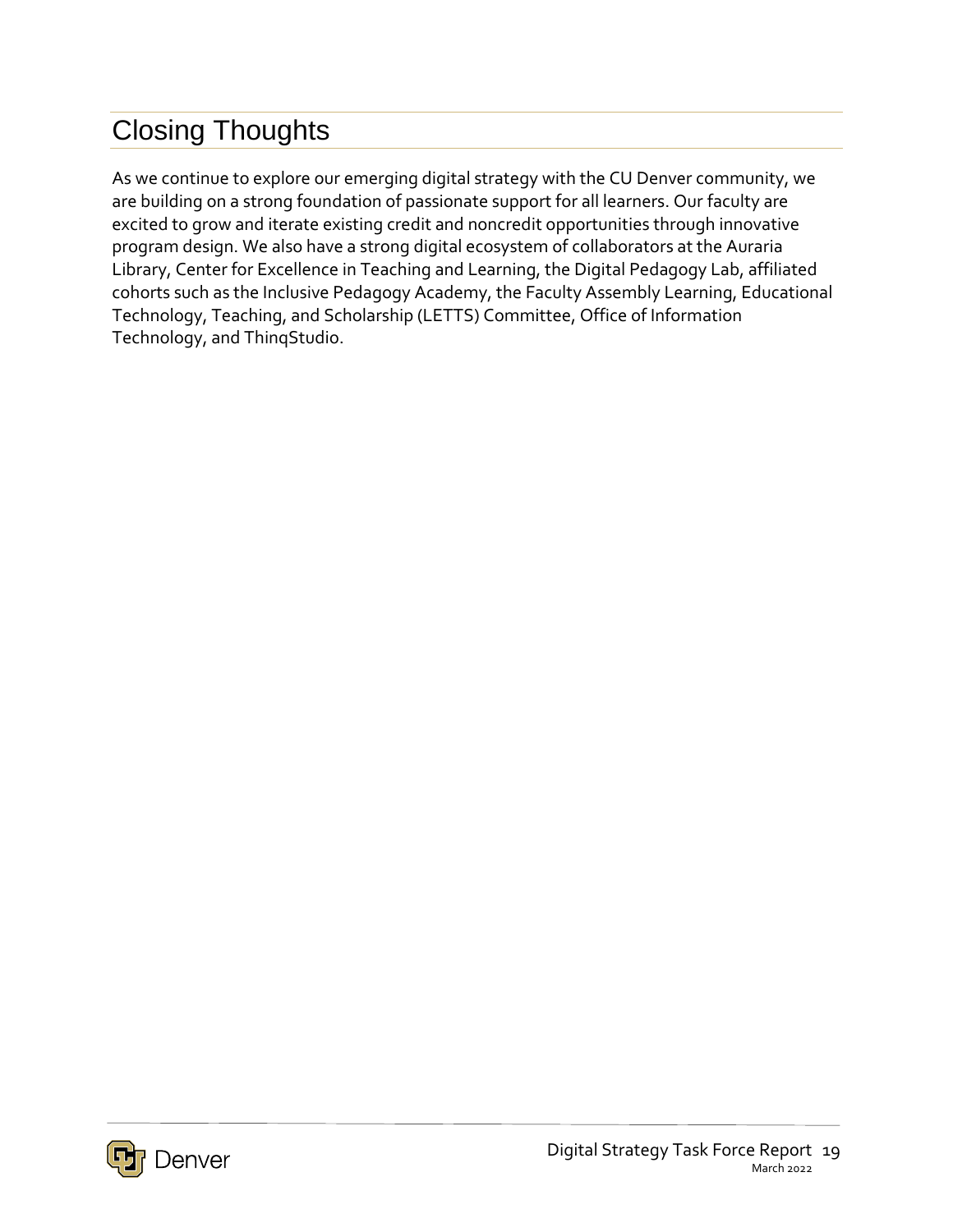# Closing Thoughts

As we continue to explore our emerging digital strategy with the CU Denver community, we are building on a strong foundation of passionate support for all learners. Our faculty are excited to grow and iterate existing credit and noncredit opportunities through innovative program design. We also have a strong digital ecosystem of collaborators at the Auraria Library, Center for Excellence in Teaching and Learning, the Digital Pedagogy Lab, affiliated cohorts such as the Inclusive Pedagogy Academy, the Faculty Assembly Learning, Educational Technology, Teaching, and Scholarship (LETTS) Committee, Office of Information Technology, and ThinqStudio.

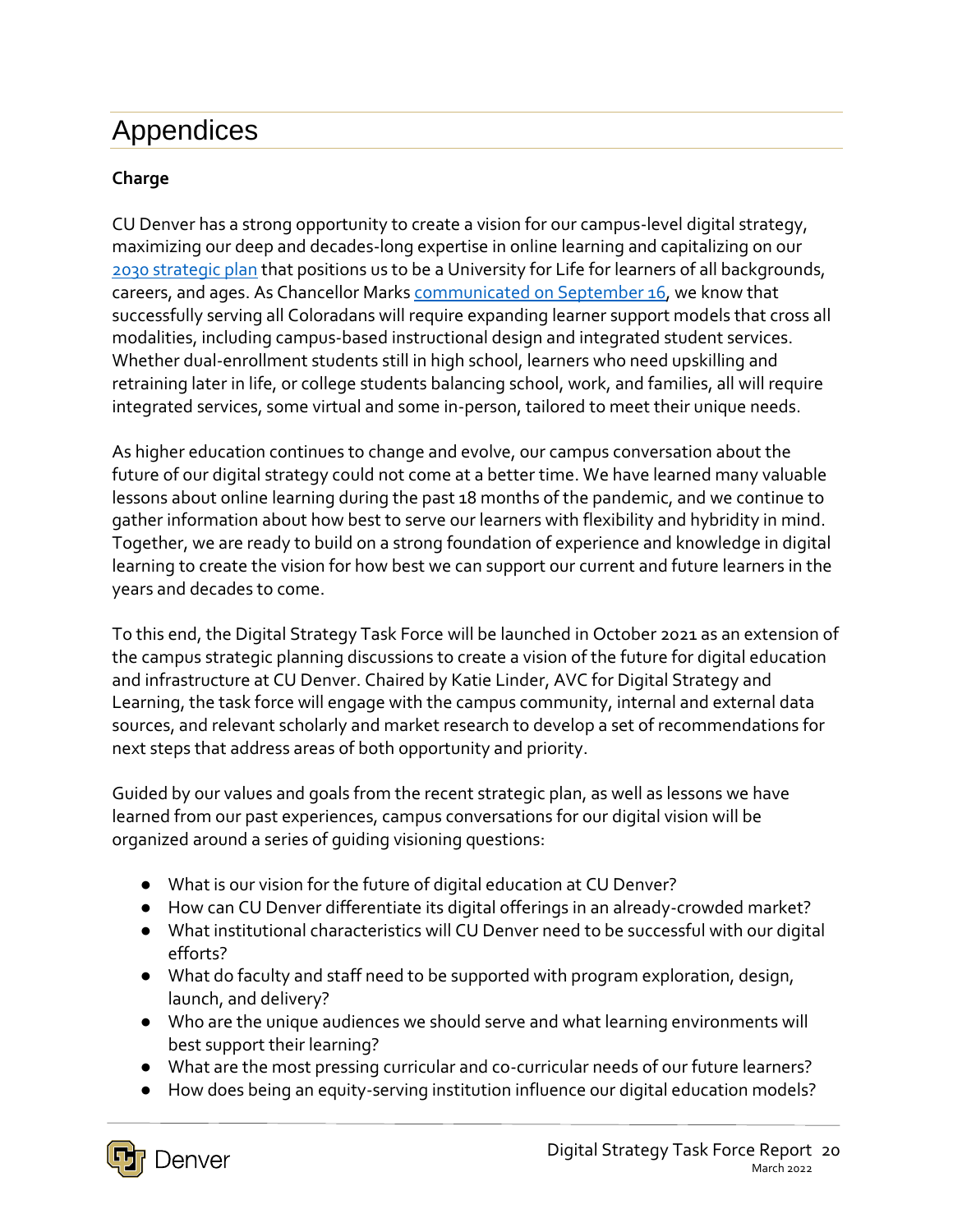# Appendices

#### **Charge**

CU Denver has a strong opportunity to create a vision for our campus-level digital strategy, maximizing our deep and decades-long expertise in online learning and capitalizing on our [2030 strategic plan](http://ucdenver.edu/2030) that positions us to be a University for Life for learners of all backgrounds, careers, and ages. As Chancellor Marks [communicated on September 16,](https://news.ucdenver.edu/a-message-from-the-chancellor-a-fresh-future-for-online-education-at-cu-denver/?utm_source=CUDNews-Thu-Sep-16-2021&utm_medium=email&utm_campaign=&utm_content=A-Message-From-the-Chancellor-A-Fresh-Future-for-Online-Education-at-CU-Denver) we know that successfully serving all Coloradans will require expanding learner support models that cross all modalities, including campus-based instructional design and integrated student services. Whether dual-enrollment students still in high school, learners who need upskilling and retraining later in life, or college students balancing school, work, and families, all will require integrated services, some virtual and some in-person, tailored to meet their unique needs.

As higher education continues to change and evolve, our campus conversation about the future of our digital strategy could not come at a better time. We have learned many valuable lessons about online learning during the past 18 months of the pandemic, and we continue to gather information about how best to serve our learners with flexibility and hybridity in mind. Together, we are ready to build on a strong foundation of experience and knowledge in digital learning to create the vision for how best we can support our current and future learners in the years and decades to come.

To this end, the Digital Strategy Task Force will be launched in October 2021 as an extension of the campus strategic planning discussions to create a vision of the future for digital education and infrastructure at CU Denver. Chaired by Katie Linder, AVC for Digital Strategy and Learning, the task force will engage with the campus community, internal and external data sources, and relevant scholarly and market research to develop a set of recommendations for next steps that address areas of both opportunity and priority.

Guided by our values and goals from the recent strategic plan, as well as lessons we have learned from our past experiences, campus conversations for our digital vision will be organized around a series of guiding visioning questions:

- What is our vision for the future of digital education at CU Denver?
- How can CU Denver differentiate its digital offerings in an already-crowded market?
- What institutional characteristics will CU Denver need to be successful with our digital efforts?
- What do faculty and staff need to be supported with program exploration, design, launch, and delivery?
- Who are the unique audiences we should serve and what learning environments will best support their learning?
- What are the most pressing curricular and co-curricular needs of our future learners?
- How does being an equity-serving institution influence our digital education models?

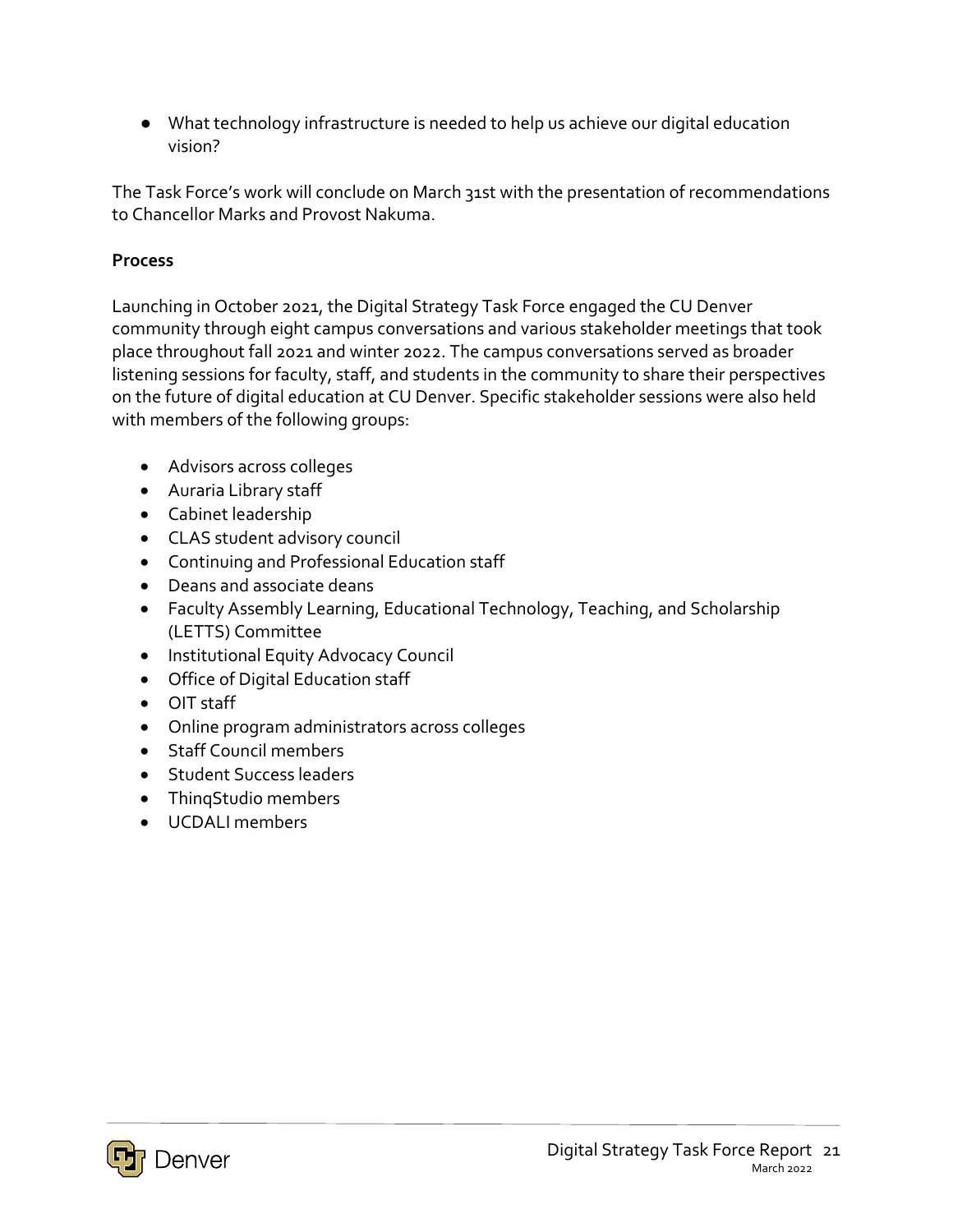● What technology infrastructure is needed to help us achieve our digital education vision?

The Task Force's work will conclude on March 31st with the presentation of recommendations to Chancellor Marks and Provost Nakuma.

#### **Process**

Launching in October 2021, the Digital Strategy Task Force engaged the CU Denver community through eight campus conversations and various stakeholder meetings that took place throughout fall 2021 and winter 2022. The campus conversations served as broader listening sessions for faculty, staff, and students in the community to share their perspectives on the future of digital education at CU Denver. Specific stakeholder sessions were also held with members of the following groups:

- Advisors across colleges
- Auraria Library staff
- Cabinet leadership
- CLAS student advisory council
- Continuing and Professional Education staff
- Deans and associate deans
- Faculty Assembly Learning, Educational Technology, Teaching, and Scholarship (LETTS) Committee
- Institutional Equity Advocacy Council
- Office of Digital Education staff
- OIT staff
- Online program administrators across colleges
- Staff Council members
- **•** Student Success leaders
- ThingStudio members
- UCDALI members